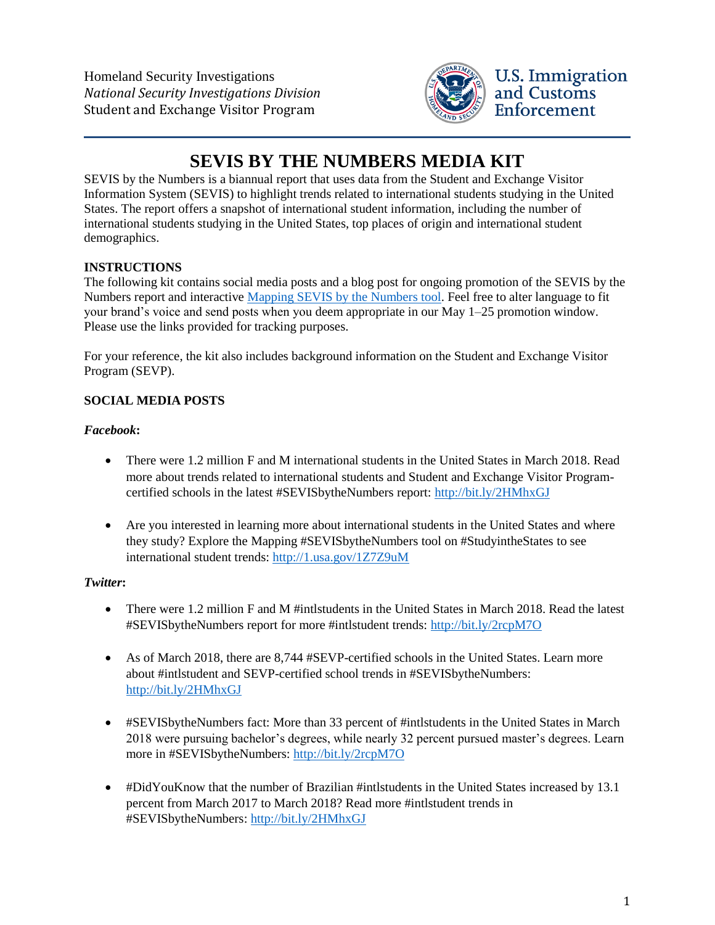Homeland Security Investigations *National Security Investigations Division* Student and Exchange Visitor Program



# **SEVIS BY THE NUMBERS MEDIA KIT**

SEVIS by the Numbers is a biannual report that uses data from the Student and Exchange Visitor Information System (SEVIS) to highlight trends related to international students studying in the United States. The report offers a snapshot of international student information, including the number of international students studying in the United States, top places of origin and international student demographics.

# **INSTRUCTIONS**

The following kit contains social media posts and a blog post for ongoing promotion of the SEVIS by the Numbers report and interactive [Mapping SEVIS by the Numbers tool.](https://studyinthestates.dhs.gov/sevis-by-the-numbers) Feel free to alter language to fit your brand's voice and send posts when you deem appropriate in our May 1–25 promotion window. Please use the links provided for tracking purposes.

For your reference, the kit also includes background information on the Student and Exchange Visitor Program (SEVP).

## **SOCIAL MEDIA POSTS**

### *Facebook***:**

- There were 1.2 million F and M international students in the United States in March 2018. Read more about trends related to international students and Student and Exchange Visitor Programcertified schools in the latest #SEVISbytheNumbers report:<http://bit.ly/2HMhxGJ>
- Are you interested in learning more about international students in the United States and where they study? Explore the Mapping #SEVISbytheNumbers tool on #StudyintheStates to see international student trends:<http://1.usa.gov/1Z7Z9uM>

### *Twitter***:**

- There were 1.2 million F and M #intlstudents in the United States in March 2018. Read the latest #SEVISbytheNumbers report for more #intlstudent trends: <http://bit.ly/2rcpM7O>
- As of March 2018, there are 8,744 #SEVP-certified schools in the United States. Learn more about #intlstudent and SEVP-certified school trends in #SEVISbytheNumbers: <http://bit.ly/2HMhxGJ>
- #SEVISbytheNumbers fact: More than 33 percent of #intlstudents in the United States in March 2018 were pursuing bachelor's degrees, while nearly 32 percent pursued master's degrees. Learn more in #SEVISbytheNumbers:<http://bit.ly/2rcpM7O>
- #DidYouKnow that the number of Brazilian #intlstudents in the United States increased by 13.1 percent from March 2017 to March 2018? Read more #intlstudent trends in #SEVISbytheNumbers[: http://bit.ly/2HMhxGJ](http://bit.ly/2HMhxGJ)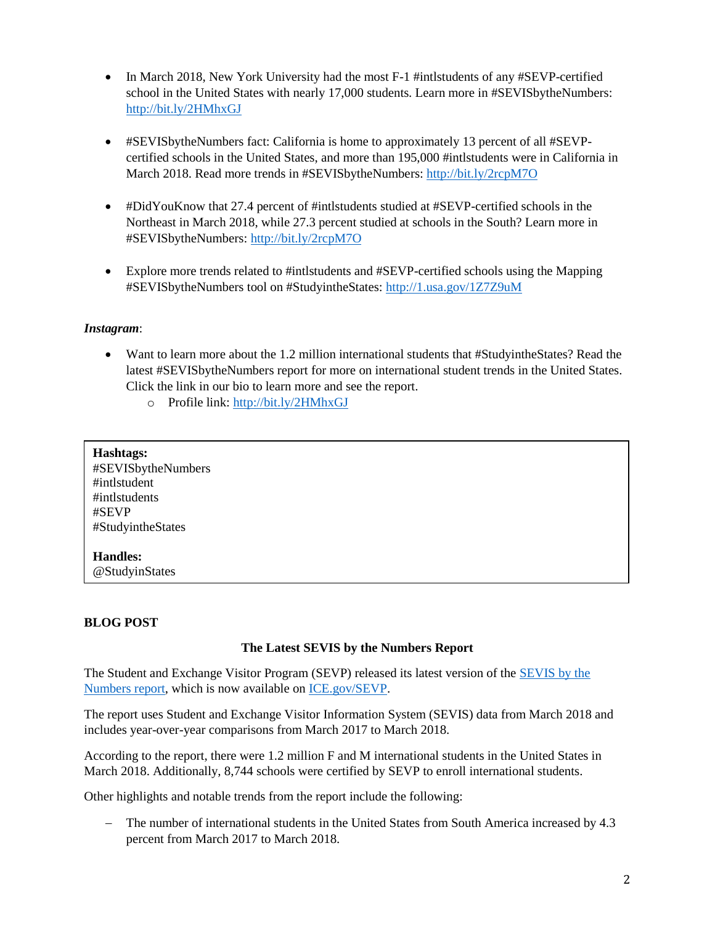- In March 2018, New York University had the most F-1 #intlstudents of any #SEVP-certified school in the United States with nearly 17,000 students. Learn more in #SEVISbytheNumbers: <http://bit.ly/2HMhxGJ>
- #SEVISbytheNumbers fact: California is home to approximately 13 percent of all #SEVPcertified schools in the United States, and more than 195,000 #intlstudents were in California in March 2018. Read more trends in #SEVISbytheNumbers:<http://bit.ly/2rcpM7O>
- #DidYouKnow that 27.4 percent of #intlstudents studied at #SEVP-certified schools in the Northeast in March 2018, while 27.3 percent studied at schools in the South? Learn more in #SEVISbytheNumbers:<http://bit.ly/2rcpM7O>
- Explore more trends related to #intlstudents and #SEVP-certified schools using the Mapping #SEVISbytheNumbers tool on #StudyintheStates:<http://1.usa.gov/1Z7Z9uM>

#### *Instagram*:

- Want to learn more about the 1.2 million international students that #StudyintheStates? Read the latest #SEVISbytheNumbers report for more on international student trends in the United States. Click the link in our bio to learn more and see the report.
	- o Profile link:<http://bit.ly/2HMhxGJ>

| Hashtags:<br>#SEVISbytheNumbers<br>#intlstudent<br>#intlstudents<br>#SEVP<br>#StudyintheStates |  |
|------------------------------------------------------------------------------------------------|--|
| <b>Handles:</b>                                                                                |  |

@StudyinStates

#### **BLOG POST**

#### **The Latest SEVIS by the Numbers Report**

The Student and Exchange Visitor Program (SEVP) released its latest version of the [SEVIS by the](https://www.ice.gov/doclib/sevis/pdf/byTheNumbersApr2018.pdf)  [Numbers report,](https://www.ice.gov/doclib/sevis/pdf/byTheNumbersApr2018.pdf) which is now available on [ICE.gov/SEVP.](https://www.ice.gov/sevp)

The report uses Student and Exchange Visitor Information System (SEVIS) data from March 2018 and includes year-over-year comparisons from March 2017 to March 2018.

According to the report, there were 1.2 million F and M international students in the United States in March 2018. Additionally, 8,744 schools were certified by SEVP to enroll international students.

Other highlights and notable trends from the report include the following:

 The number of international students in the United States from South America increased by 4.3 percent from March 2017 to March 2018.